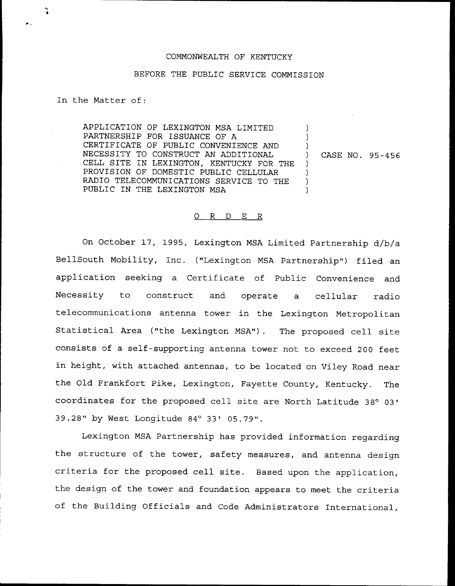## COMMONWEALTH OF KENTUCKY

## BEFORE THE PUBLIC SERVICE COMMISSION

In the Matter of:

ુ

APPLICATION OF LEXINGTON MSA LIMITED PARTNERSHIP FOR ISSUANCE OF A CERTIFICATE OF PUBLIC CONVENIENCE AND NECESSITY TO CONSTRUCT AN ADDITIONAL CELL SITE IN LEXINGTON, KENTUCKY FOR THE PROVISION OF DOMESTIC PUBLIC CELLULAR RADIO TELECOMMUNICATIONS SERVICE TO THE PUBLIC IN THE LEXINGTON MSA

) CASE NO. 95-456

) ) )

) ) ) )

## 0 R <sup>D</sup> E R

On October 17, 1995, Lexington MSA Limited Partnership d/b/a BellSouth Mobility, Inc. ("Lexington MSA Partnership") filed an application seeking a Certificate of Public Convenience and Necessity to construct and operate a cellular radio telecommunications antenna tower in the Lexington Metropolitan Statistical Area ("the Lexington MSA"). The proposed cell site consists of a self-supporting antenna tower not to exceed 200 feet in height, with attached antennas, to be located on Viley Road near the Old Frankfort Pike, Lexington, Fayette County, Kentucky. The coordinates for the proposed cell site are North Latitude 39.28" by West Longitude 84° 33' 05.79".

Lexington MSA Partnership has provided information regarding the structure of the tower, safety measures, and antenna design criteria for the proposed cell site. Based upon the application, the design of the tower and foundation appears to meet the criteria of the Building Officials and Code Administrators International,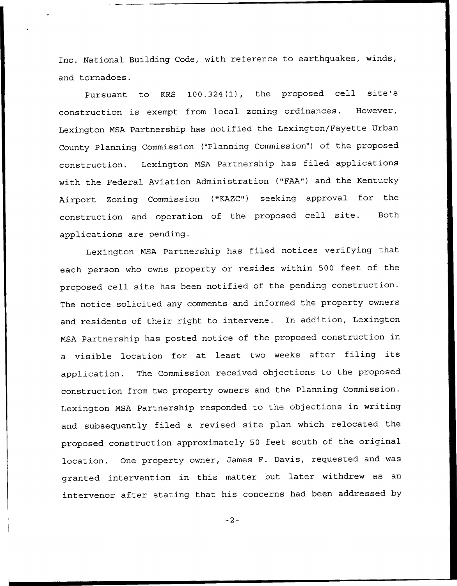Inc. National Building Code, with reference to earthquakes, winds, and tornadoes.

Pursuant to KRS 100.324(1), the proposed cell site's construction is exempt from local zoning ordinances. However, Lexington MSA Partnership has notified the Lexington/Fayette Urban County Planning Commission ("Planning Commission") of the proposed construction. Lexington MSA Partnership has filed applications with the Federal Aviation Administration ("FAA") and the Kentucky Airport Zoning Commission ("KAZC") seeking approval for the construction and operation of the proposed cell site. Both applications are pending.

Lexington MSA Partnership has filed notices verifying that each person who owns property or resides within <sup>500</sup> feet of the proposed cell site has been notified of the pending construction. The notice solicited any comments and informed the property owners and residents of their right to intervene. In addition, Lexington MSA Partnership has posted notice of the proposed construction in <sup>a</sup> visible location for at least two weeks after filing its application. The Commission received objections to the proposed construction from two property owners and the Planning Commission. Lexington MSA Partnership responded to the objections in writing and subsequently filed a revised site plan which relocated the proposed construction approximately <sup>50</sup> feet south of the original location. One property owner, James F. Davis, requested and was granted intervention in this matter but later withdrew as an intervenor after stating that his concerns had been addressed by

 $-2-$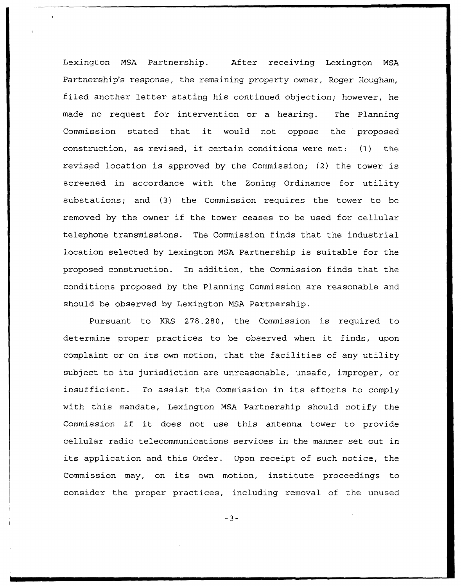Lexington NSA Partnership. After receiving Lexington MSA Partnership's response, the remaining property owner, Roger Hougham, filed another letter stating his continued objection; however, he made no request for intervention or a hearing. The Planning Commission stated that it would not oppose the proposed construction, as revised, if certain conditions were met: (I) the revised location is approved by the Commission; (2) the tower is screened in accordance with the Zoning Ordinance for utility substations; and (3) the Commission requires the tower to be removed by the owner if the tower ceases to be used for cellular telephone transmissions. The Commission finds that the industrial location selected by Lexington MSA Partnership is suitable for the proposed construction. In addition, the Commission finds that the conditions proposed by the Planning Commission are reasonable and should be observed by Lexington MSA Partnership.

Pursuant to KRS 278.280, the Commission is required to determine proper practices to be observed when it finds, upon complaint or on its own motion, that the facilities of any utility subject to its jurisdiction are unreasonable, unsafe, improper, or insufficient. To assist the Commission in its efforts to comply with this mandate, Lexington NSA Partnership should notify the Commission if it does not use this antenna tower to provide cellular radio telecommunications services in the manner set out in its application and this Order. Upon receipt of such notice, the Commission may, on its own motion, institute proceedings to consider the proper practices, including removal of the unused

 $-3-$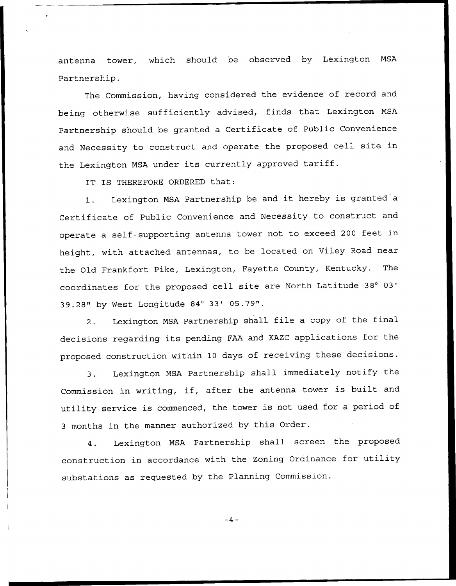antenna tower, which should be observed by Lexington MSA Partnership.

The Commission, having considered the evidence of record and being otherwise sufficiently advised, finds that Lexington MSA Partnership should be granted a Certificate of Public Convenience and Necessity to construct and operate the proposed cell site in the Lexington MSA under its currently approved tariff.

IT IS THEREFORE ORDERED that:

1. Lexington MSA Partnership be and it hereby is granted <sup>a</sup> Certificate of Public Convenience and Necessity to construct and operate <sup>a</sup> self-supporting antenna tower not to exceed <sup>200</sup> feet in height, with attached antennas, to be located on Viley Road near the Old Frankfort Pike, Lexington, Fayette County, Kentucky. The coordinates for the proposed cell site are North Latitude 39.28" by West Longitude 84° 33' 05.79".

2. Lexington MSA Partnership shall file <sup>a</sup> copy of the final decisions regarding its pending FAA and KAZC applications for the proposed construction within <sup>10</sup> days of receiving these decisions.

3. Lexington MSA Partnership shall immediately notify the Commission in writing, if, after the antenna tower is built and utility service is commenced, the tower is not used for <sup>a</sup> period of <sup>3</sup> months in the manner authorized by this Order.

4. Lexington MSA Partnership shall screen the proposed construction in accordance with the Zoning Ordinance for utility substations as requested by the Planning Commission.

 $-4-$